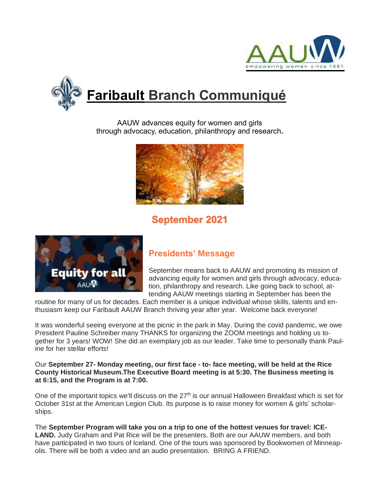



AAUW advances equity for women and girls through advocacy, education, philanthropy and research**.**



# **September 2021**



## **Presidents' Message**

September means back to AAUW and promoting its mission of advancing equity for women and girls through advocacy, education, philanthropy and research. Like going back to school, attending AAUW meetings starting in September has been the

routine for many of us for decades. Each member is a unique individual whose skills, talents and enthusiasm keep our Faribault AAUW Branch thriving year after year. Welcome back everyone!

It was wonderful seeing everyone at the picnic in the park in May. During the covid pandemic, we owe President Pauline Schreiber many THANKS for organizing the ZOOM meetings and holding us together for 3 years! WOW! She did an exemplary job as our leader. Take time to personally thank Pauline for her stellar efforts!

#### Our **September 27- Monday meeting, our first face - to- face meeting, will be held at the Rice County Historical Museum.The Executive Board meeting is at 5:30. The Business meeting is at 6:15, and the Program is at 7:00.**

One of the important topics we'll discuss on the  $27<sup>th</sup>$  is our annual Halloween Breakfast which is set for October 31st at the American Legion Club. Its purpose is to raise money for women & girls' scholarships.

The **September Program will take you on a trip to one of the hottest venues for travel: ICE-LAND.** Judy Graham and Pat Rice will be the presenters. Both are our AAUW members, and both have participated in two tours of Iceland. One of the tours was sponsored by Bookwomen of Minneapolis. There will be both a video and an audio presentation. BRING A FRIEND.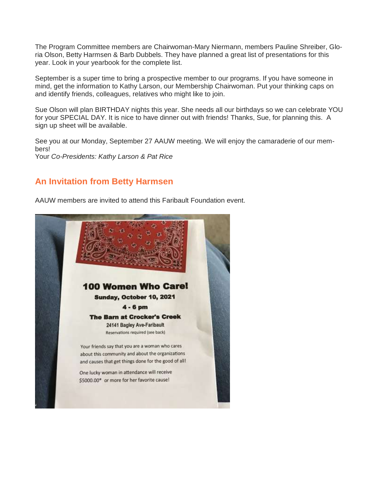The Program Committee members are Chairwoman-Mary Niermann, members Pauline Shreiber, Gloria Olson, Betty Harmsen & Barb Dubbels. They have planned a great list of presentations for this year. Look in your yearbook for the complete list.

September is a super time to bring a prospective member to our programs. If you have someone in mind, get the information to Kathy Larson, our Membership Chairwoman. Put your thinking caps on and identify friends, colleagues, relatives who might like to join.

Sue Olson will plan BIRTHDAY nights this year. She needs all our birthdays so we can celebrate YOU for your SPECIAL DAY. It is nice to have dinner out with friends! Thanks, Sue, for planning this. A sign up sheet will be available.

See you at our Monday, September 27 AAUW meeting. We will enjoy the camaraderie of our members! Your *Co-Presidents: Kathy Larson & Pat Rice*

## **An Invitation from Betty Harmsen**

AAUW members are invited to attend this Faribault Foundation event.

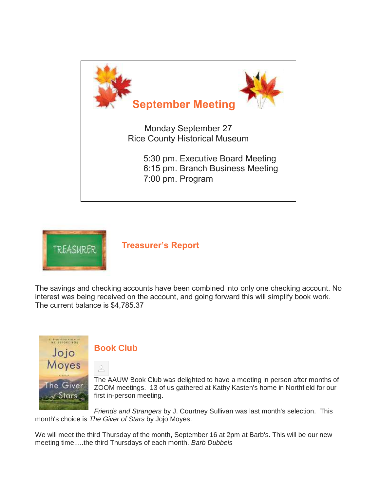



**Treasurer's Report**

The savings and checking accounts have been combined into only one checking account. No interest was being received on the account, and going forward this will simplify book work. The current balance is \$4,785.37



## **Book Club**

The AAUW Book Club was delighted to have a meeting in person after months of ZOOM meetings. 13 of us gathered at Kathy Kasten's home in Northfield for our first in-person meeting.

*Friends and Strangers* by J. Courtney Sullivan was last month's selection. This month's choice is *The Giver of Stars* by Jojo Moyes.

We will meet the third Thursday of the month, September 16 at 2pm at Barb's. This will be our new meeting time.....the third Thursdays of each month. *Barb Dubbels*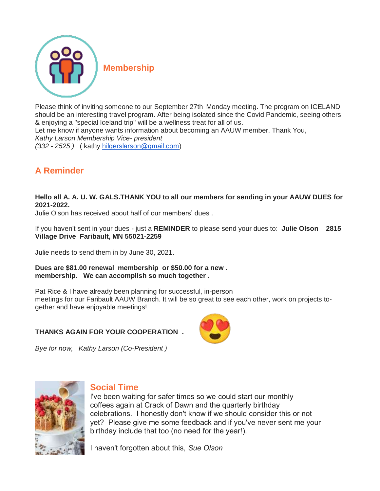

Please think of inviting someone to our September 27th Monday meeting. The program on ICELAND should be an interesting travel program. After being isolated since the Covid Pandemic, seeing others & enjoying a "special Iceland trip" will be a wellness treat for all of us. Let me know if anyone wants information about becoming an AAUW member. Thank You, *Kathy Larson Membership Vice- president (332 - 2525 )* ( kathy [hilgerslarson@gmail.com\)](mailto:hilgerslarson@gmail.com)

## **A Reminder**

**Hello all A. A. U. W. GALS.THANK YOU to all our members for sending in your AAUW DUES for 2021-2022.**

Julie Olson has received about half of our members' dues .

If you haven't sent in your dues - just a **REMINDER** to please send your dues to: **Julie Olson 2815 Village Drive Faribault, MN 55021-2259**

Julie needs to send them in by June 30, 2021.

**Dues are \$81.00 renewal membership or \$50.00 for a new . membership. We can accomplish so much together .**

Pat Rice & I have already been planning for successful, in-person meetings for our Faribault AAUW Branch. It will be so great to see each other, work on projects together and have enjoyable meetings!

#### **THANKS AGAIN FOR YOUR COOPERATION** .

*Bye for now, Kathy Larson (Co-President )*





### **Social Time**

I've been waiting for safer times so we could start our monthly coffees again at Crack of Dawn and the quarterly birthday celebrations. I honestly don't know if we should consider this or not yet? Please give me some feedback and if you've never sent me your birthday include that too (no need for the year!).

I haven't forgotten about this, *Sue Olson*